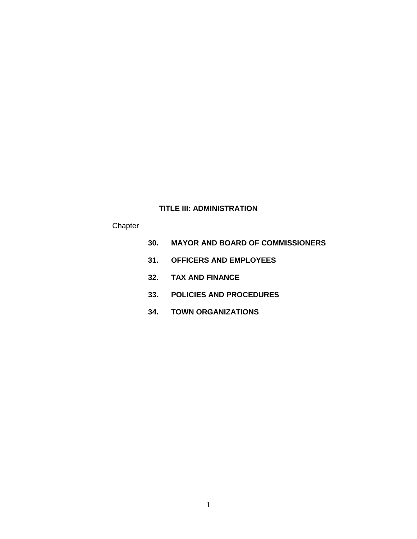# **TITLE III: ADMINISTRATION**

# **Chapter**

- **30. MAYOR AND BOARD OF COMMISSIONERS**
- **31. OFFICERS AND EMPLOYEES**
- **32. TAX AND FINANCE**
- **33. POLICIES AND PROCEDURES**
- **34. TOWN ORGANIZATIONS**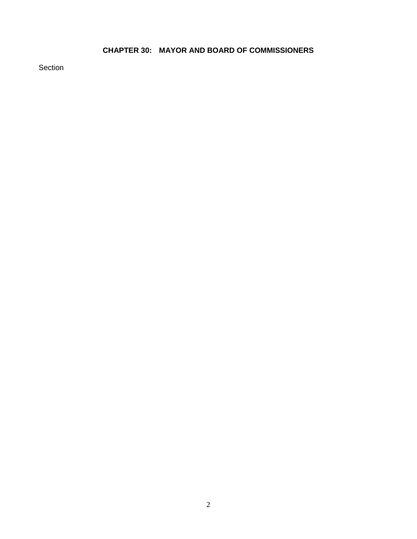# **CHAPTER 30: MAYOR AND BOARD OF COMMISSIONERS**

Section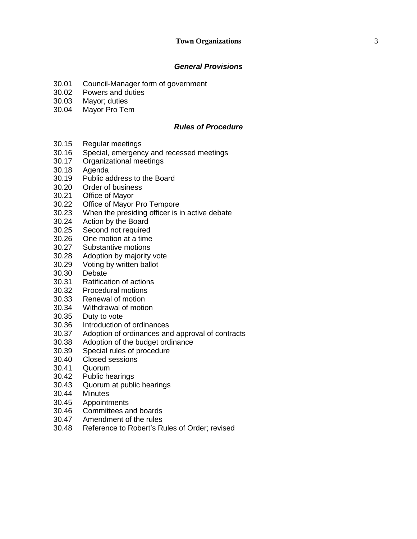# *General Provisions*

- 30.01 Council -Manager form of government
- 30.02 Powers and duties
- 30.03 Mayor; duties
- 30.04 Mayor Pro Tem

### *Rules of Procedure*

- 30.15 Regular meetings
- 30.16 Special, emergency and recessed meetings
- 30.17 Organizational meetings
- 30.18 Agenda
- 30.19 Public address to the Board
- 30.20 Order of business
- 30.21 Office of Mayor
- 30.22 Office of Mayor Pro Tempore
- 30.23 When the presiding officer is in active debate
- 30.24 Action by the Board
- 30.25 Second not required
- 30.26 One motion at a time
- 30.27 Substantive motions
- 30.28 Adoption by majority vote
- 30.29 Voting by written ballot
- 30.30 Debate
- 30.31 Ratification of actions
- 30.32 Procedural motions
- 30.33 Renewal of motion
- 30.34 Withdrawal of motion
- 30.35 Duty to vote
- 30.36 Introduction of ordinances
- 30.37 Adoption of ordinances and approval of contracts
- 30.38 Adoption of the budget ordinance
- 30.39 Special rules of procedure
- 30.40 Closed sessions
- 30.41 Quorum
- 30.42 Public hearings
- 30.43 Quorum at public hearings
- 30.44 Minutes
- 30.45 Appointments
- 30.46 Committees and boards
- 30.47 Amendment of the rules
- 30.48 Reference to Robert 's Rules of Order; revised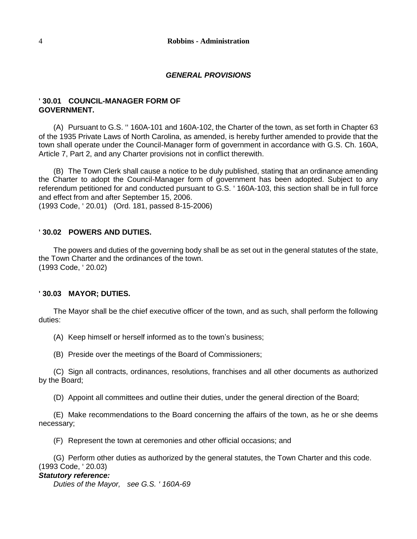#### *GENERAL PROVISIONS*

#### **' 30.01 COUNCIL-MANAGER FORM OF GOVERNMENT.**

(A) Pursuant to G.S. '' 160A-101 and 160A-102, the Charter of the town, as set forth in Chapter 63 of the 1935 Private Laws of North Carolina, as amended, is hereby further amended to provide that the town shall operate under the Council-Manager form of government in accordance with G.S. Ch. 160A, Article 7, Part 2, and any Charter provisions not in conflict therewith.

(B) The Town Clerk shall cause a notice to be duly published, stating that an ordinance amending the Charter to adopt the Council-Manager form of government has been adopted. Subject to any referendum petitioned for and conducted pursuant to G.S. ' 160A-103, this section shall be in full force and effect from and after September 15, 2006.

(1993 Code, ' 20.01) (Ord. 181, passed 8-15-2006)

#### **' 30.02 POWERS AND DUTIES.**

The powers and duties of the governing body shall be as set out in the general statutes of the state, the Town Charter and the ordinances of the town. (1993 Code, ' 20.02)

#### **' 30.03 MAYOR; DUTIES.**

The Mayor shall be the chief executive officer of the town, and as such, shall perform the following duties:

(A) Keep himself or herself informed as to the town's business;

(B) Preside over the meetings of the Board of Commissioners;

(C) Sign all contracts, ordinances, resolutions, franchises and all other documents as authorized by the Board;

(D) Appoint all committees and outline their duties, under the general direction of the Board;

(E) Make recommendations to the Board concerning the affairs of the town, as he or she deems necessary;

(F) Represent the town at ceremonies and other official occasions; and

(G) Perform other duties as authorized by the general statutes, the Town Charter and this code. (1993 Code, ' 20.03)

### *Statutory reference:*

*Duties of the Mayor, see G.S. ' 160A-69*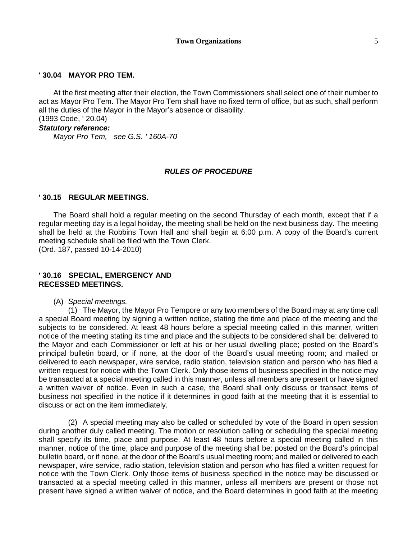#### **' 30.04 MAYOR PRO TEM.**

At the first meeting after their election, the Town Commissioners shall select one of their number to act as Mayor Pro Tem. The Mayor Pro Tem shall have no fixed term of office, but as such, shall perform all the duties of the Mayor in the Mayor's absence or disability. (1993 Code, ' 20.04)

#### *Statutory reference:*

*Mayor Pro Tem, see G.S. ' 160A-70*

#### *RULES OF PROCEDURE*

#### **' 30.15 REGULAR MEETINGS.**

The Board shall hold a regular meeting on the second Thursday of each month, except that if a regular meeting day is a legal holiday, the meeting shall be held on the next business day. The meeting shall be held at the Robbins Town Hall and shall begin at 6:00 p.m. A copy of the Board's current meeting schedule shall be filed with the Town Clerk.

(Ord. 187, passed 10-14-2010)

#### **' 30.16 SPECIAL, EMERGENCY AND RECESSED MEETINGS.**

(A) *Special meetings.*

(1) The Mayor, the Mayor Pro Tempore or any two members of the Board may at any time call a special Board meeting by signing a written notice, stating the time and place of the meeting and the subjects to be considered. At least 48 hours before a special meeting called in this manner, written notice of the meeting stating its time and place and the subjects to be considered shall be: delivered to the Mayor and each Commissioner or left at his or her usual dwelling place; posted on the Board's principal bulletin board, or if none, at the door of the Board's usual meeting room; and mailed or delivered to each newspaper, wire service, radio station, television station and person who has filed a written request for notice with the Town Clerk. Only those items of business specified in the notice may be transacted at a special meeting called in this manner, unless all members are present or have signed a written waiver of notice. Even in such a case, the Board shall only discuss or transact items of business not specified in the notice if it determines in good faith at the meeting that it is essential to discuss or act on the item immediately.

(2) A special meeting may also be called or scheduled by vote of the Board in open session during another duly called meeting. The motion or resolution calling or scheduling the special meeting shall specify its time, place and purpose. At least 48 hours before a special meeting called in this manner, notice of the time, place and purpose of the meeting shall be: posted on the Board's principal bulletin board, or if none, at the door of the Board's usual meeting room; and mailed or delivered to each newspaper, wire service, radio station, television station and person who has filed a written request for notice with the Town Clerk. Only those items of business specified in the notice may be discussed or transacted at a special meeting called in this manner, unless all members are present or those not present have signed a written waiver of notice, and the Board determines in good faith at the meeting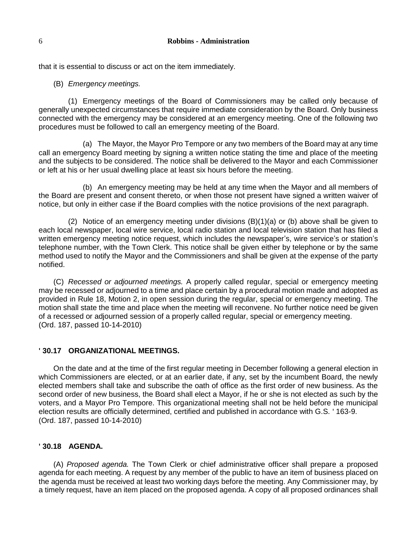that it is essential to discuss or act on the item immediately.

(B) *Emergency meetings.*

(1) Emergency meetings of the Board of Commissioners may be called only because of generally unexpected circumstances that require immediate consideration by the Board. Only business connected with the emergency may be considered at an emergency meeting. One of the following two procedures must be followed to call an emergency meeting of the Board.

(a) The Mayor, the Mayor Pro Tempore or any two members of the Board may at any time call an emergency Board meeting by signing a written notice stating the time and place of the meeting and the subjects to be considered. The notice shall be delivered to the Mayor and each Commissioner or left at his or her usual dwelling place at least six hours before the meeting.

(b) An emergency meeting may be held at any time when the Mayor and all members of the Board are present and consent thereto, or when those not present have signed a written waiver of notice, but only in either case if the Board complies with the notice provisions of the next paragraph.

(2) Notice of an emergency meeting under divisions  $(B)(1)(a)$  or (b) above shall be given to each local newspaper, local wire service, local radio station and local television station that has filed a written emergency meeting notice request, which includes the newspaper's, wire service's or station's telephone number, with the Town Clerk. This notice shall be given either by telephone or by the same method used to notify the Mayor and the Commissioners and shall be given at the expense of the party notified.

(C) *Recessed or adjourned meetings.* A properly called regular, special or emergency meeting may be recessed or adjourned to a time and place certain by a procedural motion made and adopted as provided in Rule 18, Motion 2, in open session during the regular, special or emergency meeting. The motion shall state the time and place when the meeting will reconvene. No further notice need be given of a recessed or adjourned session of a properly called regular, special or emergency meeting. (Ord. 187, passed 10-14-2010)

#### **' 30.17 ORGANIZATIONAL MEETINGS.**

On the date and at the time of the first regular meeting in December following a general election in which Commissioners are elected, or at an earlier date, if any, set by the incumbent Board, the newly elected members shall take and subscribe the oath of office as the first order of new business. As the second order of new business, the Board shall elect a Mayor, if he or she is not elected as such by the voters, and a Mayor Pro Tempore. This organizational meeting shall not be held before the municipal election results are officially determined, certified and published in accordance with G.S. ' 163-9. (Ord. 187, passed 10-14-2010)

#### **' 30.18 AGENDA.**

(A) *Proposed agenda.* The Town Clerk or chief administrative officer shall prepare a proposed agenda for each meeting. A request by any member of the public to have an item of business placed on the agenda must be received at least two working days before the meeting. Any Commissioner may, by a timely request, have an item placed on the proposed agenda. A copy of all proposed ordinances shall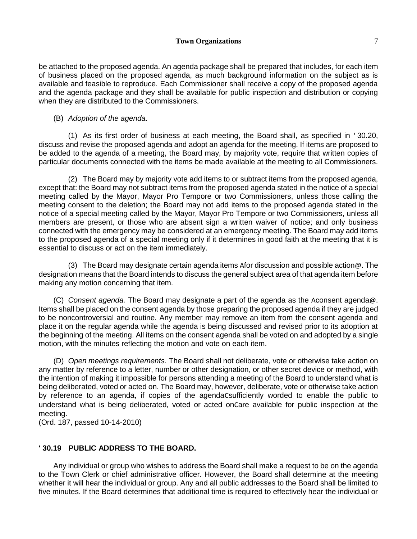#### **Town Organizations** 7

be attached to the proposed agenda. An agenda package shall be prepared that includes, for each item of business placed on the proposed agenda, as much background information on the subject as is available and feasible to reproduce. Each Commissioner shall receive a copy of the proposed agenda and the agenda package and they shall be available for public inspection and distribution or copying when they are distributed to the Commissioners.

#### (B) *Adoption of the agenda.*

(1) As its first order of business at each meeting, the Board shall, as specified in ' 30.20, discuss and revise the proposed agenda and adopt an agenda for the meeting. If items are proposed to be added to the agenda of a meeting, the Board may, by majority vote, require that written copies of particular documents connected with the items be made available at the meeting to all Commissioners.

(2) The Board may by majority vote add items to or subtract items from the proposed agenda, except that: the Board may not subtract items from the proposed agenda stated in the notice of a special meeting called by the Mayor, Mayor Pro Tempore or two Commissioners, unless those calling the meeting consent to the deletion; the Board may not add items to the proposed agenda stated in the notice of a special meeting called by the Mayor, Mayor Pro Tempore or two Commissioners, unless all members are present, or those who are absent sign a written waiver of notice; and only business connected with the emergency may be considered at an emergency meeting. The Board may add items to the proposed agenda of a special meeting only if it determines in good faith at the meeting that it is essential to discuss or act on the item immediately.

(3) The Board may designate certain agenda items Afor discussion and possible action  $\omega$ . The designation means that the Board intends to discuss the general subject area of that agenda item before making any motion concerning that item.

(C) *Consent agenda.* The Board may designate a part of the agenda as the Aconsent agenda@. Items shall be placed on the consent agenda by those preparing the proposed agenda if they are judged to be noncontroversial and routine. Any member may remove an item from the consent agenda and place it on the regular agenda while the agenda is being discussed and revised prior to its adoption at the beginning of the meeting. All items on the consent agenda shall be voted on and adopted by a single motion, with the minutes reflecting the motion and vote on each item.

(D) *Open meetings requirements.* The Board shall not deliberate, vote or otherwise take action on any matter by reference to a letter, number or other designation, or other secret device or method, with the intention of making it impossible for persons attending a meeting of the Board to understand what is being deliberated, voted or acted on. The Board may, however, deliberate, vote or otherwise take action by reference to an agenda, if copies of the agendaCsufficiently worded to enable the public to understand what is being deliberated, voted or acted onCare available for public inspection at the meeting.

(Ord. 187, passed 10-14-2010)

#### **' 30.19 PUBLIC ADDRESS TO THE BOARD.**

Any individual or group who wishes to address the Board shall make a request to be on the agenda to the Town Clerk or chief administrative officer. However, the Board shall determine at the meeting whether it will hear the individual or group. Any and all public addresses to the Board shall be limited to five minutes. If the Board determines that additional time is required to effectively hear the individual or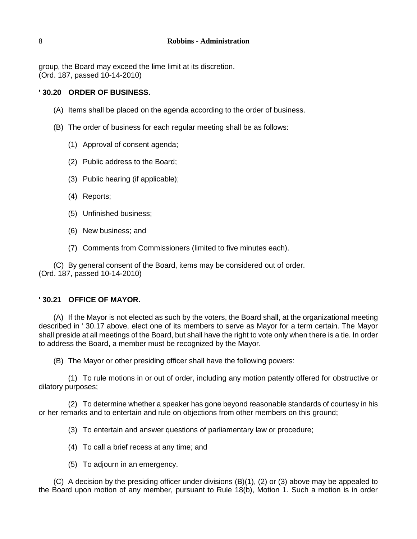group, the Board may exceed the lime limit at its discretion. (Ord. 187, passed 10-14-2010)

# **' 30.20 ORDER OF BUSINESS.**

- (A) Items shall be placed on the agenda according to the order of business.
- (B) The order of business for each regular meeting shall be as follows:
	- (1) Approval of consent agenda;
	- (2) Public address to the Board;
	- (3) Public hearing (if applicable);
	- (4) Reports;
	- (5) Unfinished business;
	- (6) New business; and
	- (7) Comments from Commissioners (limited to five minutes each).

(C) By general consent of the Board, items may be considered out of order. (Ord. 187, passed 10-14-2010)

#### **' 30.21 OFFICE OF MAYOR.**

(A) If the Mayor is not elected as such by the voters, the Board shall, at the organizational meeting described in ' 30.17 above, elect one of its members to serve as Mayor for a term certain. The Mayor shall preside at all meetings of the Board, but shall have the right to vote only when there is a tie. In order to address the Board, a member must be recognized by the Mayor.

(B) The Mayor or other presiding officer shall have the following powers:

(1) To rule motions in or out of order, including any motion patently offered for obstructive or dilatory purposes;

(2) To determine whether a speaker has gone beyond reasonable standards of courtesy in his or her remarks and to entertain and rule on objections from other members on this ground;

(3) To entertain and answer questions of parliamentary law or procedure;

- (4) To call a brief recess at any time; and
- (5) To adjourn in an emergency.

(C) A decision by the presiding officer under divisions (B)(1), (2) or (3) above may be appealed to the Board upon motion of any member, pursuant to Rule 18(b), Motion 1. Such a motion is in order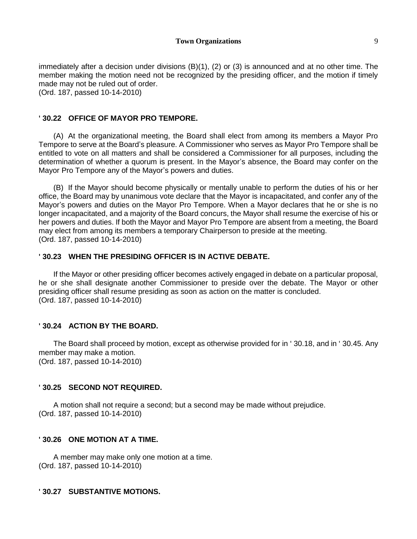immediately after a decision under divisions (B)(1), (2) or (3) is announced and at no other time. The member making the motion need not be recognized by the presiding officer, and the motion if timely made may not be ruled out of order.

(Ord. 187, passed 10-14-2010)

#### **' 30.22 OFFICE OF MAYOR PRO TEMPORE.**

(A) At the organizational meeting, the Board shall elect from among its members a Mayor Pro Tempore to serve at the Board's pleasure. A Commissioner who serves as Mayor Pro Tempore shall be entitled to vote on all matters and shall be considered a Commissioner for all purposes, including the determination of whether a quorum is present. In the Mayor's absence, the Board may confer on the Mayor Pro Tempore any of the Mayor's powers and duties.

(B) If the Mayor should become physically or mentally unable to perform the duties of his or her office, the Board may by unanimous vote declare that the Mayor is incapacitated, and confer any of the Mayor's powers and duties on the Mayor Pro Tempore. When a Mayor declares that he or she is no longer incapacitated, and a majority of the Board concurs, the Mayor shall resume the exercise of his or her powers and duties. If both the Mayor and Mayor Pro Tempore are absent from a meeting, the Board may elect from among its members a temporary Chairperson to preside at the meeting. (Ord. 187, passed 10-14-2010)

#### **' 30.23 WHEN THE PRESIDING OFFICER IS IN ACTIVE DEBATE.**

If the Mayor or other presiding officer becomes actively engaged in debate on a particular proposal, he or she shall designate another Commissioner to preside over the debate. The Mayor or other presiding officer shall resume presiding as soon as action on the matter is concluded. (Ord. 187, passed 10-14-2010)

#### **' 30.24 ACTION BY THE BOARD.**

The Board shall proceed by motion, except as otherwise provided for in ' 30.18, and in ' 30.45. Any member may make a motion. (Ord. 187, passed 10-14-2010)

#### **' 30.25 SECOND NOT REQUIRED.**

A motion shall not require a second; but a second may be made without prejudice. (Ord. 187, passed 10-14-2010)

#### **' 30.26 ONE MOTION AT A TIME.**

A member may make only one motion at a time. (Ord. 187, passed 10-14-2010)

#### **' 30.27 SUBSTANTIVE MOTIONS.**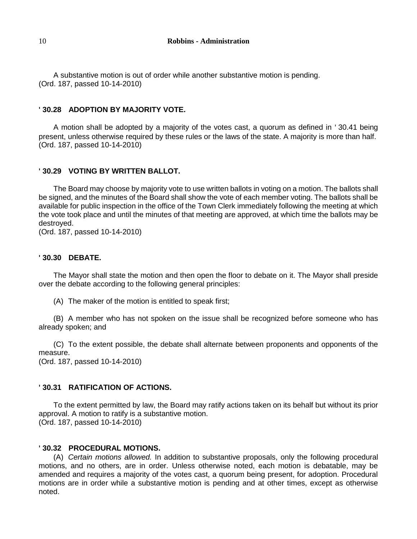A substantive motion is out of order while another substantive motion is pending. (Ord. 187, passed 10-14-2010)

## **' 30.28 ADOPTION BY MAJORITY VOTE.**

A motion shall be adopted by a majority of the votes cast, a quorum as defined in ' 30.41 being present, unless otherwise required by these rules or the laws of the state. A majority is more than half. (Ord. 187, passed 10-14-2010)

# **' 30.29 VOTING BY WRITTEN BALLOT.**

The Board may choose by majority vote to use written ballots in voting on a motion. The ballots shall be signed, and the minutes of the Board shall show the vote of each member voting. The ballots shall be available for public inspection in the office of the Town Clerk immediately following the meeting at which the vote took place and until the minutes of that meeting are approved, at which time the ballots may be destroyed.

(Ord. 187, passed 10-14-2010)

### **' 30.30 DEBATE.**

The Mayor shall state the motion and then open the floor to debate on it. The Mayor shall preside over the debate according to the following general principles:

(A) The maker of the motion is entitled to speak first;

(B) A member who has not spoken on the issue shall be recognized before someone who has already spoken; and

(C) To the extent possible, the debate shall alternate between proponents and opponents of the measure.

(Ord. 187, passed 10-14-2010)

## **' 30.31 RATIFICATION OF ACTIONS.**

To the extent permitted by law, the Board may ratify actions taken on its behalf but without its prior approval. A motion to ratify is a substantive motion. (Ord. 187, passed 10-14-2010)

## **' 30.32 PROCEDURAL MOTIONS.**

(A) *Certain motions allowed.* In addition to substantive proposals, only the following procedural motions, and no others, are in order. Unless otherwise noted, each motion is debatable, may be amended and requires a majority of the votes cast, a quorum being present, for adoption. Procedural motions are in order while a substantive motion is pending and at other times, except as otherwise noted.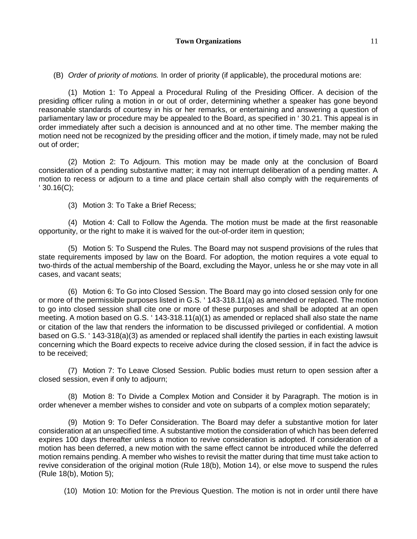(B) *Order of priority of motions.* In order of priority (if applicable), the procedural motions are:

(1) Motion 1: To Appeal a Procedural Ruling of the Presiding Officer. A decision of the presiding officer ruling a motion in or out of order, determining whether a speaker has gone beyond reasonable standards of courtesy in his or her remarks, or entertaining and answering a question of parliamentary law or procedure may be appealed to the Board, as specified in ' 30.21. This appeal is in order immediately after such a decision is announced and at no other time. The member making the motion need not be recognized by the presiding officer and the motion, if timely made, may not be ruled out of order;

(2) Motion 2: To Adjourn. This motion may be made only at the conclusion of Board consideration of a pending substantive matter; it may not interrupt deliberation of a pending matter. A motion to recess or adjourn to a time and place certain shall also comply with the requirements of ' 30.16(C);

(3) Motion 3: To Take a Brief Recess;

(4) Motion 4: Call to Follow the Agenda. The motion must be made at the first reasonable opportunity, or the right to make it is waived for the out-of-order item in question;

(5) Motion 5: To Suspend the Rules. The Board may not suspend provisions of the rules that state requirements imposed by law on the Board. For adoption, the motion requires a vote equal to two-thirds of the actual membership of the Board, excluding the Mayor, unless he or she may vote in all cases, and vacant seats;

(6) Motion 6: To Go into Closed Session. The Board may go into closed session only for one or more of the permissible purposes listed in G.S. ' 143-318.11(a) as amended or replaced. The motion to go into closed session shall cite one or more of these purposes and shall be adopted at an open meeting. A motion based on G.S. ' 143-318.11(a)(1) as amended or replaced shall also state the name or citation of the law that renders the information to be discussed privileged or confidential. A motion based on G.S. ' 143-318(a)(3) as amended or replaced shall identify the parties in each existing lawsuit concerning which the Board expects to receive advice during the closed session, if in fact the advice is to be received;

(7) Motion 7: To Leave Closed Session. Public bodies must return to open session after a closed session, even if only to adjourn;

(8) Motion 8: To Divide a Complex Motion and Consider it by Paragraph. The motion is in order whenever a member wishes to consider and vote on subparts of a complex motion separately;

(9) Motion 9: To Defer Consideration. The Board may defer a substantive motion for later consideration at an unspecified time. A substantive motion the consideration of which has been deferred expires 100 days thereafter unless a motion to revive consideration is adopted. If consideration of a motion has been deferred, a new motion with the same effect cannot be introduced while the deferred motion remains pending. A member who wishes to revisit the matter during that time must take action to revive consideration of the original motion (Rule 18(b), Motion 14), or else move to suspend the rules (Rule 18(b), Motion 5);

(10) Motion 10: Motion for the Previous Question. The motion is not in order until there have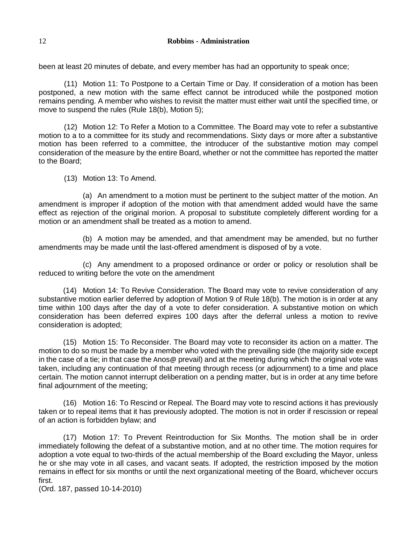#### 12 **Robbins - Administration**

been at least 20 minutes of debate, and every member has had an opportunity to speak once;

(11) Motion 11: To Postpone to a Certain Time or Day. If consideration of a motion has been postponed, a new motion with the same effect cannot be introduced while the postponed motion remains pending. A member who wishes to revisit the matter must either wait until the specified time, or move to suspend the rules (Rule 18(b), Motion 5);

(12) Motion 12: To Refer a Motion to a Committee. The Board may vote to refer a substantive motion to a to a committee for its study and recommendations. Sixty days or more after a substantive motion has been referred to a committee, the introducer of the substantive motion may compel consideration of the measure by the entire Board, whether or not the committee has reported the matter to the Board;

(13) Motion 13: To Amend.

(a) An amendment to a motion must be pertinent to the subject matter of the motion. An amendment is improper if adoption of the motion with that amendment added would have the same effect as rejection of the original morion. A proposal to substitute completely different wording for a motion or an amendment shall be treated as a motion to amend.

(b) A motion may be amended, and that amendment may be amended, but no further amendments may be made until the last-offered amendment is disposed of by a vote.

(c) Any amendment to a proposed ordinance or order or policy or resolution shall be reduced to writing before the vote on the amendment

(14) Motion 14: To Revive Consideration. The Board may vote to revive consideration of any substantive motion earlier deferred by adoption of Motion 9 of Rule 18(b). The motion is in order at any time within 100 days after the day of a vote to defer consideration. A substantive motion on which consideration has been deferred expires 100 days after the deferral unless a motion to revive consideration is adopted;

(15) Motion 15: To Reconsider. The Board may vote to reconsider its action on a matter. The motion to do so must be made by a member who voted with the prevailing side (the majority side except in the case of a tie; in that case the Anos@ prevail) and at the meeting during which the original vote was taken, including any continuation of that meeting through recess (or adjournment) to a time and place certain. The motion cannot interrupt deliberation on a pending matter, but is in order at any time before final adjournment of the meeting;

(16) Motion 16: To Rescind or Repeal. The Board may vote to rescind actions it has previously taken or to repeal items that it has previously adopted. The motion is not in order if rescission or repeal of an action is forbidden bylaw; and

(17) Motion 17: To Prevent Reintroduction for Six Months. The motion shall be in order immediately following the defeat of a substantive motion, and at no other time. The motion requires for adoption a vote equal to two-thirds of the actual membership of the Board excluding the Mayor, unless he or she may vote in all cases, and vacant seats. If adopted, the restriction imposed by the motion remains in effect for six months or until the next organizational meeting of the Board, whichever occurs first.

(Ord. 187, passed 10-14-2010)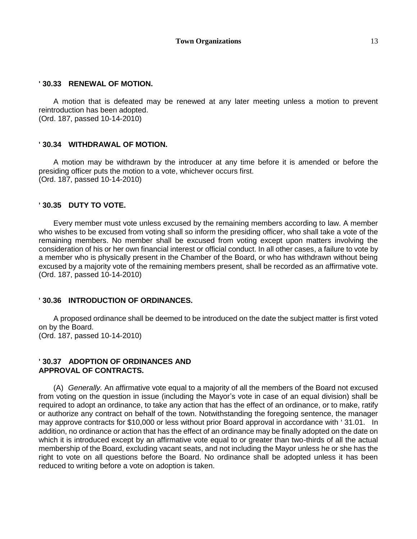#### **' 30.33 RENEWAL OF MOTION.**

A motion that is defeated may be renewed at any later meeting unless a motion to prevent reintroduction has been adopted. (Ord. 187, passed 10-14-2010)

#### **' 30.34 WITHDRAWAL OF MOTION.**

A motion may be withdrawn by the introducer at any time before it is amended or before the presiding officer puts the motion to a vote, whichever occurs first. (Ord. 187, passed 10-14-2010)

#### **' 30.35 DUTY TO VOTE.**

Every member must vote unless excused by the remaining members according to law. A member who wishes to be excused from voting shall so inform the presiding officer, who shall take a vote of the remaining members. No member shall be excused from voting except upon matters involving the consideration of his or her own financial interest or official conduct. In all other cases, a failure to vote by a member who is physically present in the Chamber of the Board, or who has withdrawn without being excused by a majority vote of the remaining members present, shall be recorded as an affirmative vote. (Ord. 187, passed 10-14-2010)

#### **' 30.36 INTRODUCTION OF ORDINANCES.**

A proposed ordinance shall be deemed to be introduced on the date the subject matter is first voted on by the Board. (Ord. 187, passed 10-14-2010)

#### **' 30.37 ADOPTION OF ORDINANCES AND APPROVAL OF CONTRACTS.**

(A) *Generally.* An affirmative vote equal to a majority of all the members of the Board not excused from voting on the question in issue (including the Mayor's vote in case of an equal division) shall be required to adopt an ordinance, to take any action that has the effect of an ordinance, or to make, ratify or authorize any contract on behalf of the town. Notwithstanding the foregoing sentence, the manager may approve contracts for \$10,000 or less without prior Board approval in accordance with ' 31.01. In addition, no ordinance or action that has the effect of an ordinance may be finally adopted on the date on which it is introduced except by an affirmative vote equal to or greater than two-thirds of all the actual membership of the Board, excluding vacant seats, and not including the Mayor unless he or she has the right to vote on all questions before the Board. No ordinance shall be adopted unless it has been reduced to writing before a vote on adoption is taken.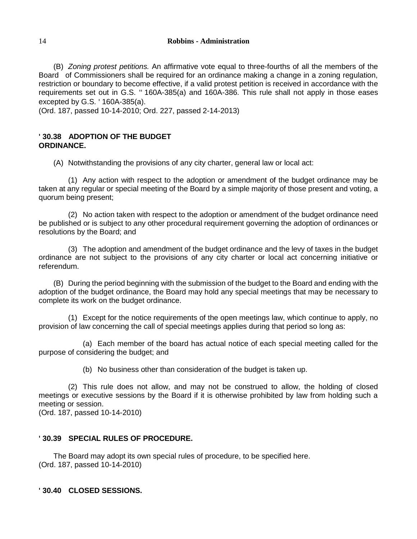(B) *Zoning protest petitions.* An affirmative vote equal to three-fourths of all the members of the Board of Commissioners shall be required for an ordinance making a change in a zoning regulation, restriction or boundary to become effective, if a valid protest petition is received in accordance with the requirements set out in G.S. '' 160A-385(a) and 160A-386. This rule shall not apply in those eases excepted by G.S. ' 160A-385(a).

(Ord. 187, passed 10-14-2010; Ord. 227, passed 2-14-2013)

### **' 30.38 ADOPTION OF THE BUDGET ORDINANCE.**

(A) Notwithstanding the provisions of any city charter, general law or local act:

(1) Any action with respect to the adoption or amendment of the budget ordinance may be taken at any regular or special meeting of the Board by a simple majority of those present and voting, a quorum being present;

(2) No action taken with respect to the adoption or amendment of the budget ordinance need be published or is subject to any other procedural requirement governing the adoption of ordinances or resolutions by the Board; and

(3) The adoption and amendment of the budget ordinance and the levy of taxes in the budget ordinance are not subject to the provisions of any city charter or local act concerning initiative or referendum.

(B) During the period beginning with the submission of the budget to the Board and ending with the adoption of the budget ordinance, the Board may hold any special meetings that may be necessary to complete its work on the budget ordinance.

(1) Except for the notice requirements of the open meetings law, which continue to apply, no provision of law concerning the call of special meetings applies during that period so long as:

(a) Each member of the board has actual notice of each special meeting called for the purpose of considering the budget; and

(b) No business other than consideration of the budget is taken up.

(2) This rule does not allow, and may not be construed to allow, the holding of closed meetings or executive sessions by the Board if it is otherwise prohibited by law from holding such a meeting or session.

(Ord. 187, passed 10-14-2010)

## **' 30.39 SPECIAL RULES OF PROCEDURE.**

The Board may adopt its own special rules of procedure, to be specified here. (Ord. 187, passed 10-14-2010)

**' 30.40 CLOSED SESSIONS.**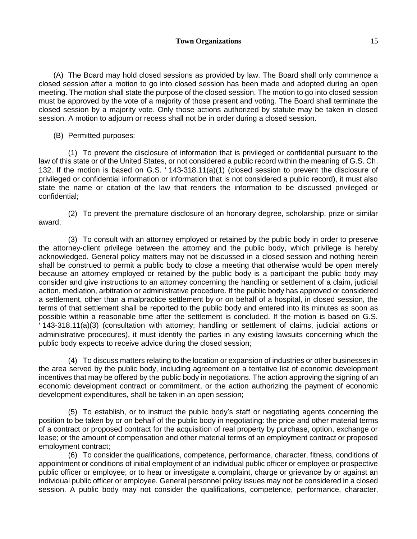(A) The Board may hold closed sessions as provided by law. The Board shall only commence a closed session after a motion to go into closed session has been made and adopted during an open meeting. The motion shall state the purpose of the closed session. The motion to go into closed session must be approved by the vote of a majority of those present and voting. The Board shall terminate the closed session by a majority vote. Only those actions authorized by statute may be taken in closed session. A motion to adjourn or recess shall not be in order during a closed session.

(B) Permitted purposes:

(1) To prevent the disclosure of information that is privileged or confidential pursuant to the law of this state or of the United States, or not considered a public record within the meaning of G.S. Ch. 132. If the motion is based on G.S. ' 143-318.11(a)(1) (closed session to prevent the disclosure of privileged or confidential information or information that is not considered a public record), it must also state the name or citation of the law that renders the information to be discussed privileged or confidential;

(2) To prevent the premature disclosure of an honorary degree, scholarship, prize or similar award;

(3) To consult with an attorney employed or retained by the public body in order to preserve the attorney-client privilege between the attorney and the public body, which privilege is hereby acknowledged. General policy matters may not be discussed in a closed session and nothing herein shall be construed to permit a public body to close a meeting that otherwise would be open merely because an attorney employed or retained by the public body is a participant the public body may consider and give instructions to an attorney concerning the handling or settlement of a claim, judicial action, mediation, arbitration or administrative procedure. If the public body has approved or considered a settlement, other than a malpractice settlement by or on behalf of a hospital, in closed session, the terms of that settlement shall be reported to the public body and entered into its minutes as soon as possible within a reasonable time after the settlement is concluded. If the motion is based on G.S. ' 143-318.11(a)(3) (consultation with attorney; handling or settlement of claims, judicial actions or administrative procedures), it must identify the parties in any existing lawsuits concerning which the public body expects to receive advice during the closed session;

(4) To discuss matters relating to the location or expansion of industries or other businesses in the area served by the public body, including agreement on a tentative list of economic development incentives that may be offered by the public body in negotiations. The action approving the signing of an economic development contract or commitment, or the action authorizing the payment of economic development expenditures, shall be taken in an open session;

(5) To establish, or to instruct the public body's staff or negotiating agents concerning the position to be taken by or on behalf of the public body in negotiating: the price and other material terms of a contract or proposed contract for the acquisition of real property by purchase, option, exchange or lease; or the amount of compensation and other material terms of an employment contract or proposed employment contract;

(6) To consider the qualifications, competence, performance, character, fitness, conditions of appointment or conditions of initial employment of an individual public officer or employee or prospective public officer or employee; or to hear or investigate a complaint, charge or grievance by or against an individual public officer or employee. General personnel policy issues may not be considered in a closed session. A public body may not consider the qualifications, competence, performance, character,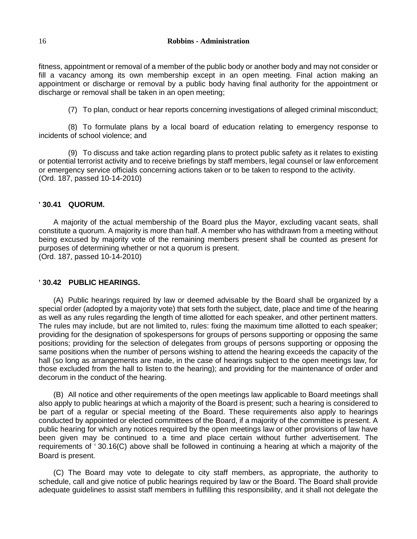fitness, appointment or removal of a member of the public body or another body and may not consider or fill a vacancy among its own membership except in an open meeting. Final action making an appointment or discharge or removal by a public body having final authority for the appointment or discharge or removal shall be taken in an open meeting;

(7) To plan, conduct or hear reports concerning investigations of alleged criminal misconduct;

(8) To formulate plans by a local board of education relating to emergency response to incidents of school violence; and

(9) To discuss and take action regarding plans to protect public safety as it relates to existing or potential terrorist activity and to receive briefings by staff members, legal counsel or law enforcement or emergency service officials concerning actions taken or to be taken to respond to the activity. (Ord. 187, passed 10-14-2010)

#### **' 30.41 QUORUM.**

A majority of the actual membership of the Board plus the Mayor, excluding vacant seats, shall constitute a quorum. A majority is more than half. A member who has withdrawn from a meeting without being excused by majority vote of the remaining members present shall be counted as present for purposes of determining whether or not a quorum is present. (Ord. 187, passed 10-14-2010)

#### **' 30.42 PUBLIC HEARINGS.**

(A) Public hearings required by law or deemed advisable by the Board shall be organized by a special order (adopted by a majority vote) that sets forth the subject, date, place and time of the hearing as well as any rules regarding the length of time allotted for each speaker, and other pertinent matters. The rules may include, but are not limited to, rules: fixing the maximum time allotted to each speaker; providing for the designation of spokespersons for groups of persons supporting or opposing the same positions; providing for the selection of delegates from groups of persons supporting or opposing the same positions when the number of persons wishing to attend the hearing exceeds the capacity of the hall (so long as arrangements are made, in the case of hearings subject to the open meetings law, for those excluded from the hall to listen to the hearing); and providing for the maintenance of order and decorum in the conduct of the hearing.

(B) All notice and other requirements of the open meetings law applicable to Board meetings shall also apply to public hearings at which a majority of the Board is present; such a hearing is considered to be part of a regular or special meeting of the Board. These requirements also apply to hearings conducted by appointed or elected committees of the Board, if a majority of the committee is present. A public hearing for which any notices required by the open meetings law or other provisions of law have been given may be continued to a time and place certain without further advertisement. The requirements of ' 30.16(C) above shall be followed in continuing a hearing at which a majority of the Board is present.

(C) The Board may vote to delegate to city staff members, as appropriate, the authority to schedule, call and give notice of public hearings required by law or the Board. The Board shall provide adequate guidelines to assist staff members in fulfilling this responsibility, and it shall not delegate the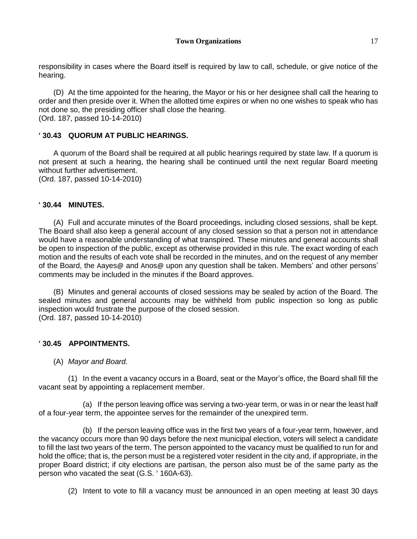responsibility in cases where the Board itself is required by law to call, schedule, or give notice of the hearing.

(D) At the time appointed for the hearing, the Mayor or his or her designee shall call the hearing to order and then preside over it. When the allotted time expires or when no one wishes to speak who has not done so, the presiding officer shall close the hearing. (Ord. 187, passed 10-14-2010)

## **' 30.43 QUORUM AT PUBLIC HEARINGS.**

A quorum of the Board shall be required at all public hearings required by state law. If a quorum is not present at such a hearing, the hearing shall be continued until the next regular Board meeting without further advertisement.

(Ord. 187, passed 10-14-2010)

## **' 30.44 MINUTES.**

(A) Full and accurate minutes of the Board proceedings, including closed sessions, shall be kept. The Board shall also keep a general account of any closed session so that a person not in attendance would have a reasonable understanding of what transpired. These minutes and general accounts shall be open to inspection of the public, except as otherwise provided in this rule. The exact wording of each motion and the results of each vote shall be recorded in the minutes, and on the request of any member of the Board, the Aayes@ and Anos@ upon any question shall be taken. Members' and other persons' comments may be included in the minutes if the Board approves.

(B) Minutes and general accounts of closed sessions may be sealed by action of the Board. The sealed minutes and general accounts may be withheld from public inspection so long as public inspection would frustrate the purpose of the closed session. (Ord. 187, passed 10-14-2010)

# **' 30.45 APPOINTMENTS.**

#### (A) *Mayor and Board.*

(1) In the event a vacancy occurs in a Board, seat or the Mayor's office, the Board shall fill the vacant seat by appointing a replacement member.

(a) If the person leaving office was serving a two-year term, or was in or near the least half of a four-year term, the appointee serves for the remainder of the unexpired term.

(b) If the person leaving office was in the first two years of a four-year term, however, and the vacancy occurs more than 90 days before the next municipal election, voters will select a candidate to fill the last two years of the term. The person appointed to the vacancy must be qualified to run for and hold the office; that is, the person must be a registered voter resident in the city and, if appropriate, in the proper Board district; if city elections are partisan, the person also must be of the same party as the person who vacated the seat (G.S. ' 160A-63).

(2) Intent to vote to fill a vacancy must be announced in an open meeting at least 30 days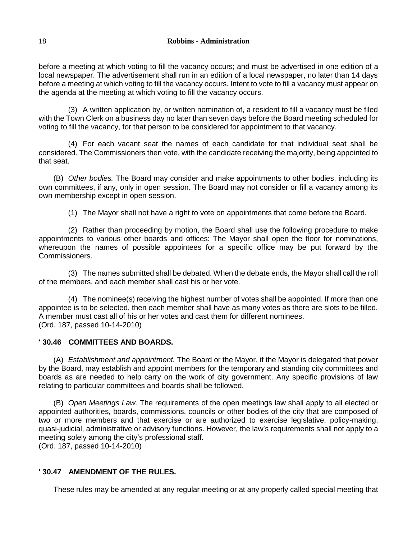before a meeting at which voting to fill the vacancy occurs; and must be advertised in one edition of a local newspaper. The advertisement shall run in an edition of a local newspaper, no later than 14 days before a meeting at which voting to fill the vacancy occurs. Intent to vote to fill a vacancy must appear on the agenda at the meeting at which voting to fill the vacancy occurs.

(3) A written application by, or written nomination of, a resident to fill a vacancy must be filed with the Town Clerk on a business day no later than seven days before the Board meeting scheduled for voting to fill the vacancy, for that person to be considered for appointment to that vacancy.

(4) For each vacant seat the names of each candidate for that individual seat shall be considered. The Commissioners then vote, with the candidate receiving the majority, being appointed to that seat.

(B) *Other bodies.* The Board may consider and make appointments to other bodies, including its own committees, if any, only in open session. The Board may not consider or fill a vacancy among its own membership except in open session.

(1) The Mayor shall not have a right to vote on appointments that come before the Board.

(2) Rather than proceeding by motion, the Board shall use the following procedure to make appointments to various other boards and offices: The Mayor shall open the floor for nominations, whereupon the names of possible appointees for a specific office may be put forward by the Commissioners.

(3) The names submitted shall be debated. When the debate ends, the Mayor shall call the roll of the members, and each member shall cast his or her vote.

(4) The nominee(s) receiving the highest number of votes shall be appointed. If more than one appointee is to be selected, then each member shall have as many votes as there are slots to be filled. A member must cast all of his or her votes and cast them for different nominees. (Ord. 187, passed 10-14-2010)

#### **' 30.46 COMMITTEES AND BOARDS.**

(A) *Establishment and appointment.* The Board or the Mayor, if the Mayor is delegated that power by the Board, may establish and appoint members for the temporary and standing city committees and boards as are needed to help carry on the work of city government. Any specific provisions of law relating to particular committees and boards shall be followed.

(B) *Open Meetings Law.* The requirements of the open meetings law shall apply to all elected or appointed authorities, boards, commissions, councils or other bodies of the city that are composed of two or more members and that exercise or are authorized to exercise legislative, policy-making, quasi-judicial, administrative or advisory functions. However, the law's requirements shall not apply to a meeting solely among the city's professional staff. (Ord. 187, passed 10-14-2010)

# **' 30.47 AMENDMENT OF THE RULES.**

These rules may be amended at any regular meeting or at any properly called special meeting that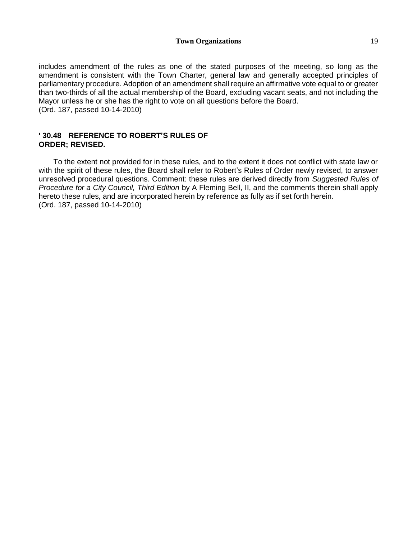#### **Town Organizations** 19

includes amendment of the rules as one of the stated purposes of the meeting, so long as the amendment is consistent with the Town Charter, general law and generally accepted principles of parliamentary procedure. Adoption of an amendment shall require an affirmative vote equal to or greater than two-thirds of all the actual membership of the Board, excluding vacant seats, and not including the Mayor unless he or she has the right to vote on all questions before the Board. (Ord. 187, passed 10-14-2010)

#### **' 30.48 REFERENCE TO ROBERT'S RULES OF ORDER; REVISED.**

To the extent not provided for in these rules, and to the extent it does not conflict with state law or with the spirit of these rules, the Board shall refer to Robert's Rules of Order newly revised, to answer unresolved procedural questions. Comment: these rules are derived directly from *Suggested Rules of Procedure for a City Council, Third Edition* by A Fleming Bell, II, and the comments therein shall apply hereto these rules, and are incorporated herein by reference as fully as if set forth herein. (Ord. 187, passed 10-14-2010)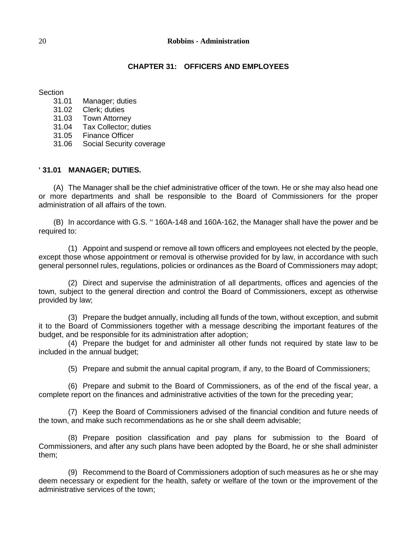#### 20 **Robbins - Administration**

#### **CHAPTER 31: OFFICERS AND EMPLOYEES**

Section

- 31.01 Manager; duties
- 31.02 Clerk; duties
- 31.03 Town Attorney
- 31.04 Tax Collector; duties
- 31.05 Finance Officer
- 31.06 Social Security coverage

#### **' 31.01 MANAGER; DUTIES.**

(A) The Manager shall be the chief administrative officer of the town. He or she may also head one or more departments and shall be responsible to the Board of Commissioners for the proper administration of all affairs of the town.

(B) In accordance with G.S. '' 160A-148 and 160A-162, the Manager shall have the power and be required to:

(1) Appoint and suspend or remove all town officers and employees not elected by the people, except those whose appointment or removal is otherwise provided for by law, in accordance with such general personnel rules, regulations, policies or ordinances as the Board of Commissioners may adopt;

(2) Direct and supervise the administration of all departments, offices and agencies of the town, subject to the general direction and control the Board of Commissioners, except as otherwise provided by law;

(3) Prepare the budget annually, including all funds of the town, without exception, and submit it to the Board of Commissioners together with a message describing the important features of the budget, and be responsible for its administration after adoption;

(4) Prepare the budget for and administer all other funds not required by state law to be included in the annual budget;

(5) Prepare and submit the annual capital program, if any, to the Board of Commissioners;

(6) Prepare and submit to the Board of Commissioners, as of the end of the fiscal year, a complete report on the finances and administrative activities of the town for the preceding year;

(7) Keep the Board of Commissioners advised of the financial condition and future needs of the town, and make such recommendations as he or she shall deem advisable;

(8) Prepare position classification and pay plans for submission to the Board of Commissioners, and after any such plans have been adopted by the Board, he or she shall administer them;

(9) Recommend to the Board of Commissioners adoption of such measures as he or she may deem necessary or expedient for the health, safety or welfare of the town or the improvement of the administrative services of the town;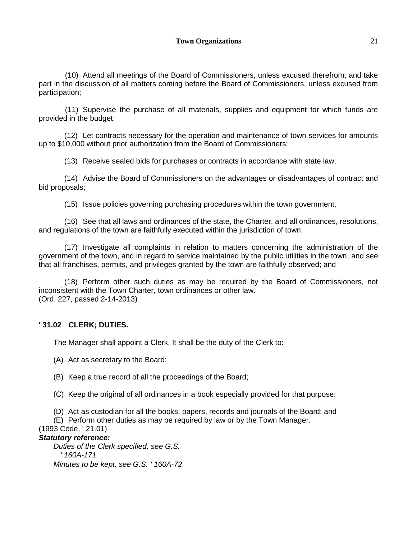(10) Attend all meetings of the Board of Commissioners, unless excused therefrom, and take part in the discussion of all matters coming before the Board of Commissioners, unless excused from participation;

(11) Supervise the purchase of all materials, supplies and equipment for which funds are provided in the budget;

(12) Let contracts necessary for the operation and maintenance of town services for amounts up to \$10,000 without prior authorization from the Board of Commissioners;

(13) Receive sealed bids for purchases or contracts in accordance with state law;

(14) Advise the Board of Commissioners on the advantages or disadvantages of contract and bid proposals;

(15) Issue policies governing purchasing procedures within the town government;

(16) See that all laws and ordinances of the state, the Charter, and all ordinances, resolutions, and regulations of the town are faithfully executed within the jurisdiction of town;

(17) Investigate all complaints in relation to matters concerning the administration of the government of the town, and in regard to service maintained by the public utilities in the town, and see that all franchises, permits, and privileges granted by the town are faithfully observed; and

(18) Perform other such duties as may be required by the Board of Commissioners, not inconsistent with the Town Charter, town ordinances or other law. (Ord. 227, passed 2-14-2013)

## **' 31.02 CLERK; DUTIES.**

The Manager shall appoint a Clerk. It shall be the duty of the Clerk to:

(A) Act as secretary to the Board;

(B) Keep a true record of all the proceedings of the Board;

(C) Keep the original of all ordinances in a book especially provided for that purpose;

(D) Act as custodian for all the books, papers, records and journals of the Board; and

(E) Perform other duties as may be required by law or by the Town Manager.

(1993 Code, ' 21.01)

### *Statutory reference:*

*Duties of the Clerk specified, see G.S. ' 160A-171 Minutes to be kept, see G.S. ' 160A-72*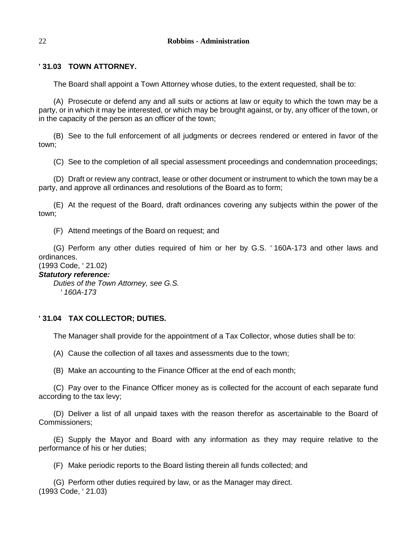## **' 31.03 TOWN ATTORNEY.**

The Board shall appoint a Town Attorney whose duties, to the extent requested, shall be to:

(A) Prosecute or defend any and all suits or actions at law or equity to which the town may be a party, or in which it may be interested, or which may be brought against, or by, any officer of the town, or in the capacity of the person as an officer of the town;

(B) See to the full enforcement of all judgments or decrees rendered or entered in favor of the town;

(C) See to the completion of all special assessment proceedings and condemnation proceedings;

(D) Draft or review any contract, lease or other document or instrument to which the town may be a party, and approve all ordinances and resolutions of the Board as to form;

(E) At the request of the Board, draft ordinances covering any subjects within the power of the town;

(F) Attend meetings of the Board on request; and

(G) Perform any other duties required of him or her by G.S. ' 160A-173 and other laws and ordinances.

### (1993 Code, ' 21.02)

## *Statutory reference:*

*Duties of the Town Attorney, see G.S. ' 160A-173*

## **' 31.04 TAX COLLECTOR; DUTIES.**

The Manager shall provide for the appointment of a Tax Collector, whose duties shall be to:

(A) Cause the collection of all taxes and assessments due to the town;

(B) Make an accounting to the Finance Officer at the end of each month;

(C) Pay over to the Finance Officer money as is collected for the account of each separate fund according to the tax levy;

(D) Deliver a list of all unpaid taxes with the reason therefor as ascertainable to the Board of Commissioners;

(E) Supply the Mayor and Board with any information as they may require relative to the performance of his or her duties;

(F) Make periodic reports to the Board listing therein all funds collected; and

(G) Perform other duties required by law, or as the Manager may direct. (1993 Code, ' 21.03)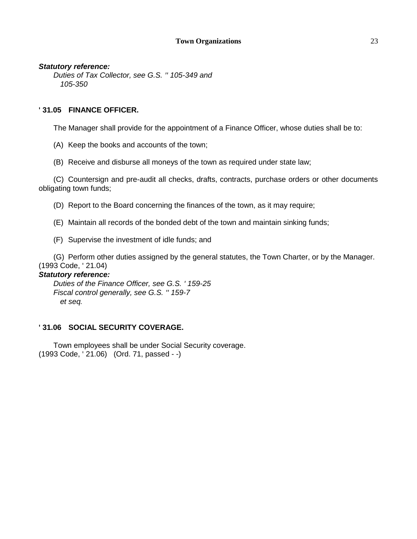#### **Town Organizations** 23

#### *Statutory reference:*

*Duties of Tax Collector, see G.S. '' 105-349 and 105-350*

#### **' 31.05 FINANCE OFFICER.**

The Manager shall provide for the appointment of a Finance Officer, whose duties shall be to:

- (A) Keep the books and accounts of the town;
- (B) Receive and disburse all moneys of the town as required under state law;

(C) Countersign and pre-audit all checks, drafts, contracts, purchase orders or other documents obligating town funds;

- (D) Report to the Board concerning the finances of the town, as it may require;
- (E) Maintain all records of the bonded debt of the town and maintain sinking funds;
- (F) Supervise the investment of idle funds; and

(G) Perform other duties assigned by the general statutes, the Town Charter, or by the Manager. (1993 Code, ' 21.04)

#### *Statutory reference:*

*Duties of the Finance Officer, see G.S. ' 159-25 Fiscal control generally, see G.S. '' 159-7 et seq.*

#### **' 31.06 SOCIAL SECURITY COVERAGE.**

Town employees shall be under Social Security coverage. (1993 Code, ' 21.06) (Ord. 71, passed - -)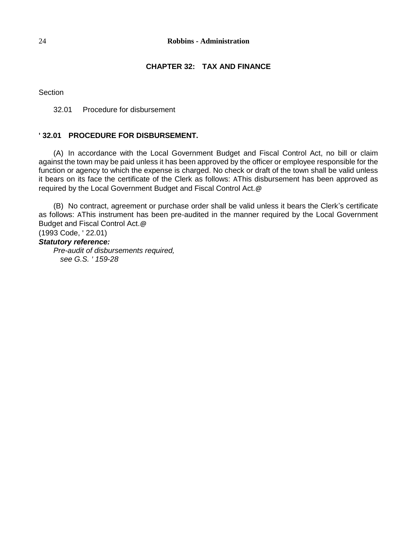#### 24 **Robbins - Administration**

# **CHAPTER 32: TAX AND FINANCE**

Section

32.01 Procedure for disbursement

### **' 32.01 PROCEDURE FOR DISBURSEMENT.**

(A) In accordance with the Local Government Budget and Fiscal Control Act, no bill or claim against the town may be paid unless it has been approved by the officer or employee responsible for the function or agency to which the expense is charged. No check or draft of the town shall be valid unless it bears on its face the certificate of the Clerk as follows: AThis disbursement has been approved as required by the Local Government Budget and Fiscal Control Act.@

(B) No contract, agreement or purchase order shall be valid unless it bears the Clerk's certificate as follows: AThis instrument has been pre-audited in the manner required by the Local Government Budget and Fiscal Control Act.@

(1993 Code, ' 22.01)

# *Statutory reference:*

*Pre-audit of disbursements required, see G.S. ' 159-28*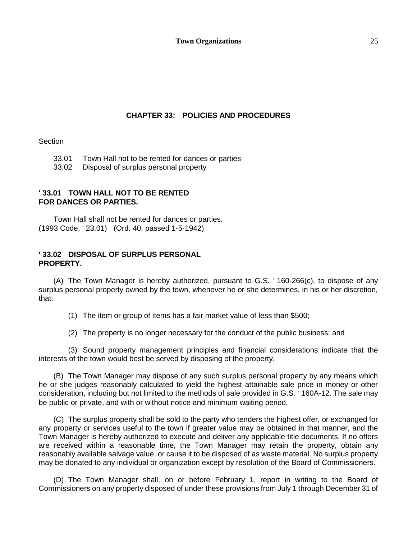### **CHAPTER 33: POLICIES AND PROCEDURES**

**Section** 

33.01 Town Hall not to be rented for dances or parties

33.02 Disposal of surplus personal property

### **' 33.01 TOWN HALL NOT TO BE RENTED FOR DANCES OR PARTIES.**

Town Hall shall not be rented for dances or parties. (1993 Code, ' 23.01) (Ord. 40, passed 1-5-1942)

#### **' 33.02 DISPOSAL OF SURPLUS PERSONAL PROPERTY.**

(A) The Town Manager is hereby authorized, pursuant to G.S. ' 160-266(c), to dispose of any surplus personal property owned by the town, whenever he or she determines, in his or her discretion, that:

(1) The item or group of items has a fair market value of less than \$500;

(2) The property is no longer necessary for the conduct of the public business; and

(3) Sound property management principles and financial considerations indicate that the interests of the town would best be served by disposing of the property.

(B) The Town Manager may dispose of any such surplus personal property by any means which he or she judges reasonably calculated to yield the highest attainable sale price in money or other consideration, including but not limited to the methods of sale provided in G.S. ' 160A-12. The sale may be public or private, and with or without notice and minimum waiting period.

(C) The surplus property shall be sold to the party who tenders the highest offer, or exchanged for any property or services useful to the town if greater value may be obtained in that manner, and the Town Manager is hereby authorized to execute and deliver any applicable title documents. If no offers are received within a reasonable time, the Town Manager may retain the property, obtain any reasonably available salvage value, or cause it to be disposed of as waste material. No surplus property may be donated to any individual or organization except by resolution of the Board of Commissioners.

(D) The Town Manager shall, on or before February 1, report in writing to the Board of Commissioners on any property disposed of under these provisions from July 1 through December 31 of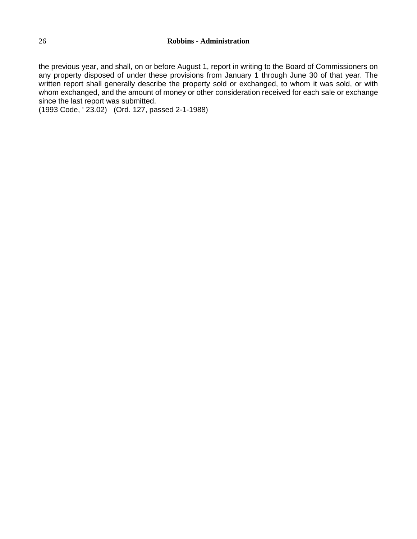the previous year, and shall, on or before August 1, report in writing to the Board of Commissioners on any property disposed of under these provisions from January 1 through June 30 of that year. The written report shall generally describe the property sold or exchanged, to whom it was sold, or with whom exchanged, and the amount of money or other consideration received for each sale or exchange since the last report was submitted.

(1993 Code, ' 23.02) (Ord. 127, passed 2-1-1988)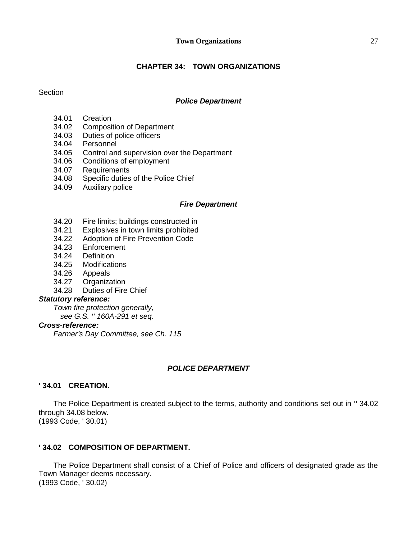#### **Town Organizations** 27

## **CHAPTER 34: TOWN ORGANIZATIONS**

**Section** 

#### *Police Department*

- 34.01 Creation
- 34.02 Composition of Department
- 34.03 Duties of police officers
- 34.04 Personnel
- 34.05 Control and supervision over the Department
- 34.06 Conditions of employment
- 34.07 Requirements
- 34.08 Specific duties of the Police Chief
- 34.09 Auxiliary police

#### *Fire Department*

- 34.20 Fire limits; buildings constructed in
- 34.21 Explosives in town limits prohibited
- 34.22 Adoption of Fire Prevention Code
- 34.23 Enforcement
- 34.24 Definition
- 34.25 Modifications
- 34.26 Appeals
- 34.27 Organization
- 34.28 Duties of Fire Chief

#### *Statutory reference:*

*Town fire protection generally,*

 *see G.S. '' 160A-291 et seq.*

### *Cross-reference:*

*Farmer's Day Committee, see Ch. 115*

## *POLICE DEPARTMENT*

#### **' 34.01 CREATION.**

The Police Department is created subject to the terms, authority and conditions set out in '' 34.02 through 34.08 below. (1993 Code, ' 30.01)

#### **' 34.02 COMPOSITION OF DEPARTMENT.**

The Police Department shall consist of a Chief of Police and officers of designated grade as the Town Manager deems necessary. (1993 Code, ' 30.02)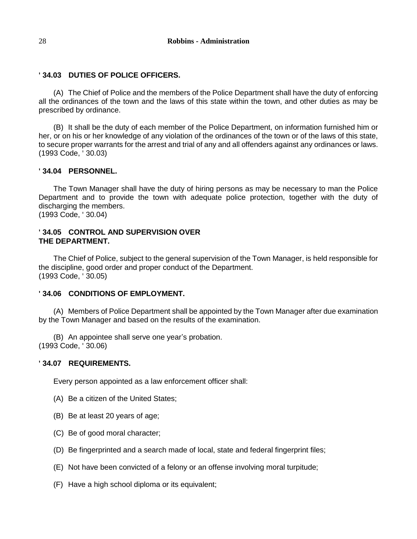### **' 34.03 DUTIES OF POLICE OFFICERS.**

(A) The Chief of Police and the members of the Police Department shall have the duty of enforcing all the ordinances of the town and the laws of this state within the town, and other duties as may be prescribed by ordinance.

(B) It shall be the duty of each member of the Police Department, on information furnished him or her, or on his or her knowledge of any violation of the ordinances of the town or of the laws of this state, to secure proper warrants for the arrest and trial of any and all offenders against any ordinances or laws. (1993 Code, ' 30.03)

### **' 34.04 PERSONNEL.**

The Town Manager shall have the duty of hiring persons as may be necessary to man the Police Department and to provide the town with adequate police protection, together with the duty of discharging the members.

(1993 Code, ' 30.04)

### **' 34.05 CONTROL AND SUPERVISION OVER THE DEPARTMENT.**

The Chief of Police, subject to the general supervision of the Town Manager, is held responsible for the discipline, good order and proper conduct of the Department. (1993 Code, ' 30.05)

#### **' 34.06 CONDITIONS OF EMPLOYMENT.**

(A) Members of Police Department shall be appointed by the Town Manager after due examination by the Town Manager and based on the results of the examination.

(B) An appointee shall serve one year's probation. (1993 Code, ' 30.06)

#### **' 34.07 REQUIREMENTS.**

Every person appointed as a law enforcement officer shall:

- (A) Be a citizen of the United States;
- (B) Be at least 20 years of age;
- (C) Be of good moral character;
- (D) Be fingerprinted and a search made of local, state and federal fingerprint files;
- (E) Not have been convicted of a felony or an offense involving moral turpitude;
- (F) Have a high school diploma or its equivalent;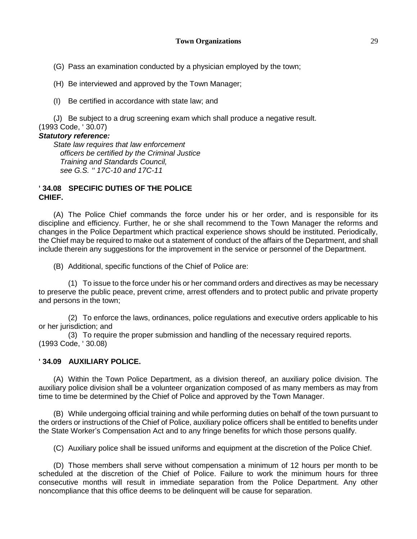(G) Pass an examination conducted by a physician employed by the town;

(H) Be interviewed and approved by the Town Manager;

(I) Be certified in accordance with state law; and

(J) Be subject to a drug screening exam which shall produce a negative result. (1993 Code, ' 30.07)

### *Statutory reference:*

*State law requires that law enforcement officers be certified by the Criminal Justice Training and Standards Council, see G.S. '' 17C-10 and 17C-11*

### **' 34.08 SPECIFIC DUTIES OF THE POLICE CHIEF.**

(A) The Police Chief commands the force under his or her order, and is responsible for its discipline and efficiency. Further, he or she shall recommend to the Town Manager the reforms and changes in the Police Department which practical experience shows should be instituted. Periodically, the Chief may be required to make out a statement of conduct of the affairs of the Department, and shall include therein any suggestions for the improvement in the service or personnel of the Department.

(B) Additional, specific functions of the Chief of Police are:

(1) To issue to the force under his or her command orders and directives as may be necessary to preserve the public peace, prevent crime, arrest offenders and to protect public and private property and persons in the town;

(2) To enforce the laws, ordinances, police regulations and executive orders applicable to his or her jurisdiction; and

(3) To require the proper submission and handling of the necessary required reports. (1993 Code, ' 30.08)

## **' 34.09 AUXILIARY POLICE.**

(A) Within the Town Police Department, as a division thereof, an auxiliary police division. The auxiliary police division shall be a volunteer organization composed of as many members as may from time to time be determined by the Chief of Police and approved by the Town Manager.

(B) While undergoing official training and while performing duties on behalf of the town pursuant to the orders or instructions of the Chief of Police, auxiliary police officers shall be entitled to benefits under the State Worker's Compensation Act and to any fringe benefits for which those persons qualify.

(C) Auxiliary police shall be issued uniforms and equipment at the discretion of the Police Chief.

(D) Those members shall serve without compensation a minimum of 12 hours per month to be scheduled at the discretion of the Chief of Police. Failure to work the minimum hours for three consecutive months will result in immediate separation from the Police Department. Any other noncompliance that this office deems to be delinquent will be cause for separation.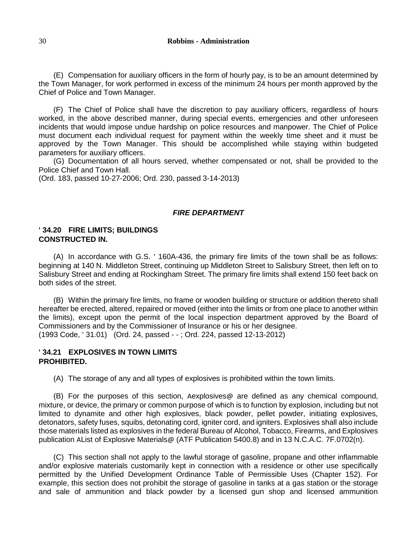(E) Compensation for auxiliary officers in the form of hourly pay, is to be an amount determined by the Town Manager, for work performed in excess of the minimum 24 hours per month approved by the Chief of Police and Town Manager.

(F) The Chief of Police shall have the discretion to pay auxiliary officers, regardless of hours worked, in the above described manner, during special events, emergencies and other unforeseen incidents that would impose undue hardship on police resources and manpower. The Chief of Police must document each individual request for payment within the weekly time sheet and it must be approved by the Town Manager. This should be accomplished while staying within budgeted parameters for auxiliary officers.

(G) Documentation of all hours served, whether compensated or not, shall be provided to the Police Chief and Town Hall.

(Ord. 183, passed 10-27-2006; Ord. 230, passed 3-14-2013)

### *FIRE DEPARTMENT*

#### **' 34.20 FIRE LIMITS; BUILDINGS CONSTRUCTED IN.**

(A) In accordance with G.S. ' 160A-436, the primary fire limits of the town shall be as follows: beginning at 140 N. Middleton Street, continuing up Middleton Street to Salisbury Street, then left on to Salisbury Street and ending at Rockingham Street. The primary fire limits shall extend 150 feet back on both sides of the street.

(B) Within the primary fire limits, no frame or wooden building or structure or addition thereto shall hereafter be erected, altered, repaired or moved (either into the limits or from one place to another within the limits), except upon the permit of the local inspection department approved by the Board of Commissioners and by the Commissioner of Insurance or his or her designee. (1993 Code, ' 31.01) (Ord. 24, passed - - ; Ord. 224, passed 12-13-2012)

### **' 34.21 EXPLOSIVES IN TOWN LIMITS PROHIBITED.**

(A) The storage of any and all types of explosives is prohibited within the town limits.

(B) For the purposes of this section, Aexplosives@ are defined as any chemical compound, mixture, or device, the primary or common purpose of which is to function by explosion, including but not limited to dynamite and other high explosives, black powder, pellet powder, initiating explosives, detonators, safety fuses, squibs, detonating cord, igniter cord, and igniters. Explosives shall also include those materials listed as explosives in the federal Bureau of Alcohol, Tobacco, Firearms, and Explosives publication AList of Explosive Materials@ (ATF Publication 5400.8) and in 13 N.C.A.C. 7F.0702(n).

(C) This section shall not apply to the lawful storage of gasoline, propane and other inflammable and/or explosive materials customarily kept in connection with a residence or other use specifically permitted by the Unified Development Ordinance Table of Permissible Uses (Chapter 152). For example, this section does not prohibit the storage of gasoline in tanks at a gas station or the storage and sale of ammunition and black powder by a licensed gun shop and licensed ammunition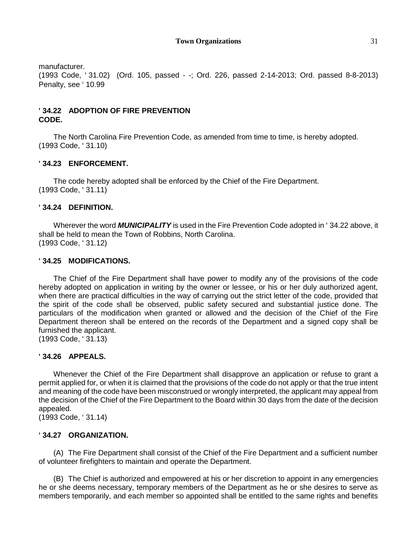manufacturer.

(1993 Code, ' 31.02) (Ord. 105, passed - -; Ord. 226, passed 2-14-2013; Ord. passed 8-8-2013) Penalty, see ' 10.99

# **' 34.22 ADOPTION OF FIRE PREVENTION CODE.**

The North Carolina Fire Prevention Code, as amended from time to time, is hereby adopted. (1993 Code, ' 31.10)

# **' 34.23 ENFORCEMENT.**

The code hereby adopted shall be enforced by the Chief of the Fire Department. (1993 Code, ' 31.11)

# **' 34.24 DEFINITION.**

Wherever the word *MUNICIPALITY* is used in the Fire Prevention Code adopted in ' 34.22 above, it shall be held to mean the Town of Robbins, North Carolina. (1993 Code, ' 31.12)

## **' 34.25 MODIFICATIONS.**

The Chief of the Fire Department shall have power to modify any of the provisions of the code hereby adopted on application in writing by the owner or lessee, or his or her duly authorized agent, when there are practical difficulties in the way of carrying out the strict letter of the code, provided that the spirit of the code shall be observed, public safety secured and substantial justice done. The particulars of the modification when granted or allowed and the decision of the Chief of the Fire Department thereon shall be entered on the records of the Department and a signed copy shall be furnished the applicant.

(1993 Code, ' 31.13)

## **' 34.26 APPEALS.**

Whenever the Chief of the Fire Department shall disapprove an application or refuse to grant a permit applied for, or when it is claimed that the provisions of the code do not apply or that the true intent and meaning of the code have been misconstrued or wrongly interpreted, the applicant may appeal from the decision of the Chief of the Fire Department to the Board within 30 days from the date of the decision appealed.

(1993 Code, ' 31.14)

## **' 34.27 ORGANIZATION.**

(A) The Fire Department shall consist of the Chief of the Fire Department and a sufficient number of volunteer firefighters to maintain and operate the Department.

(B) The Chief is authorized and empowered at his or her discretion to appoint in any emergencies he or she deems necessary, temporary members of the Department as he or she desires to serve as members temporarily, and each member so appointed shall be entitled to the same rights and benefits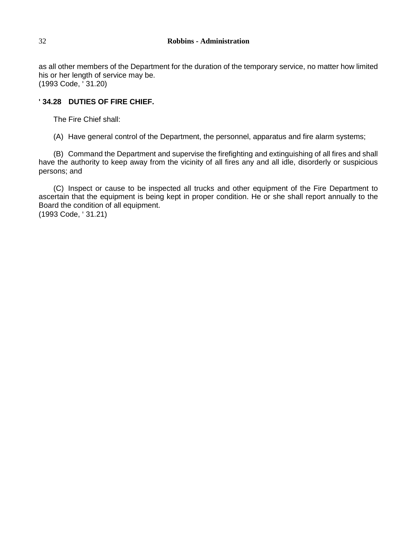as all other members of the Department for the duration of the temporary service, no matter how limited his or her length of service may be. (1993 Code, ' 31.20)

# **' 34.28 DUTIES OF FIRE CHIEF.**

The Fire Chief shall:

(A) Have general control of the Department, the personnel, apparatus and fire alarm systems;

(B) Command the Department and supervise the firefighting and extinguishing of all fires and shall have the authority to keep away from the vicinity of all fires any and all idle, disorderly or suspicious persons; and

(C) Inspect or cause to be inspected all trucks and other equipment of the Fire Department to ascertain that the equipment is being kept in proper condition. He or she shall report annually to the Board the condition of all equipment.

(1993 Code, ' 31.21)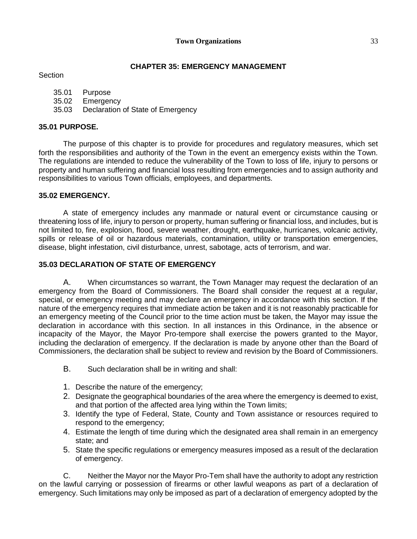# **CHAPTER 35: EMERGENCY MANAGEMENT**

### **Section**

| 35.01 | Purpose |
|-------|---------|
|       |         |

- 35.02 Emergency
- 35.03 Declaration of State of Emergency

# **35.01 PURPOSE.**

The purpose of this chapter is to provide for procedures and regulatory measures, which set forth the responsibilities and authority of the Town in the event an emergency exists within the Town. The regulations are intended to reduce the vulnerability of the Town to loss of life, injury to persons or property and human suffering and financial loss resulting from emergencies and to assign authority and responsibilities to various Town officials, employees, and departments.

## **35.02 EMERGENCY.**

A state of emergency includes any manmade or natural event or circumstance causing or threatening loss of life, injury to person or property, human suffering or financial loss, and includes, but is not limited to, fire, explosion, flood, severe weather, drought, earthquake, hurricanes, volcanic activity, spills or release of oil or hazardous materials, contamination, utility or transportation emergencies, disease, blight infestation, civil disturbance, unrest, sabotage, acts of terrorism, and war.

# **35.03 DECLARATION OF STATE OF EMERGENCY**

A. When circumstances so warrant, the Town Manager may request the declaration of an emergency from the Board of Commissioners. The Board shall consider the request at a regular, special, or emergency meeting and may declare an emergency in accordance with this section. If the nature of the emergency requires that immediate action be taken and it is not reasonably practicable for an emergency meeting of the Council prior to the time action must be taken, the Mayor may issue the declaration in accordance with this section. In all instances in this Ordinance, in the absence or incapacity of the Mayor, the Mayor Pro-tempore shall exercise the powers granted to the Mayor, including the declaration of emergency. If the declaration is made by anyone other than the Board of Commissioners, the declaration shall be subject to review and revision by the Board of Commissioners.

- B. Such declaration shall be in writing and shall:
- 1. Describe the nature of the emergency;
- 2. Designate the geographical boundaries of the area where the emergency is deemed to exist, and that portion of the affected area lying within the Town limits;
- 3. Identify the type of Federal, State, County and Town assistance or resources required to respond to the emergency;
- 4. Estimate the length of time during which the designated area shall remain in an emergency state; and
- 5. State the specific regulations or emergency measures imposed as a result of the declaration of emergency.

C. Neither the Mayor nor the Mayor Pro-Tem shall have the authority to adopt any restriction on the lawful carrying or possession of firearms or other lawful weapons as part of a declaration of emergency. Such limitations may only be imposed as part of a declaration of emergency adopted by the